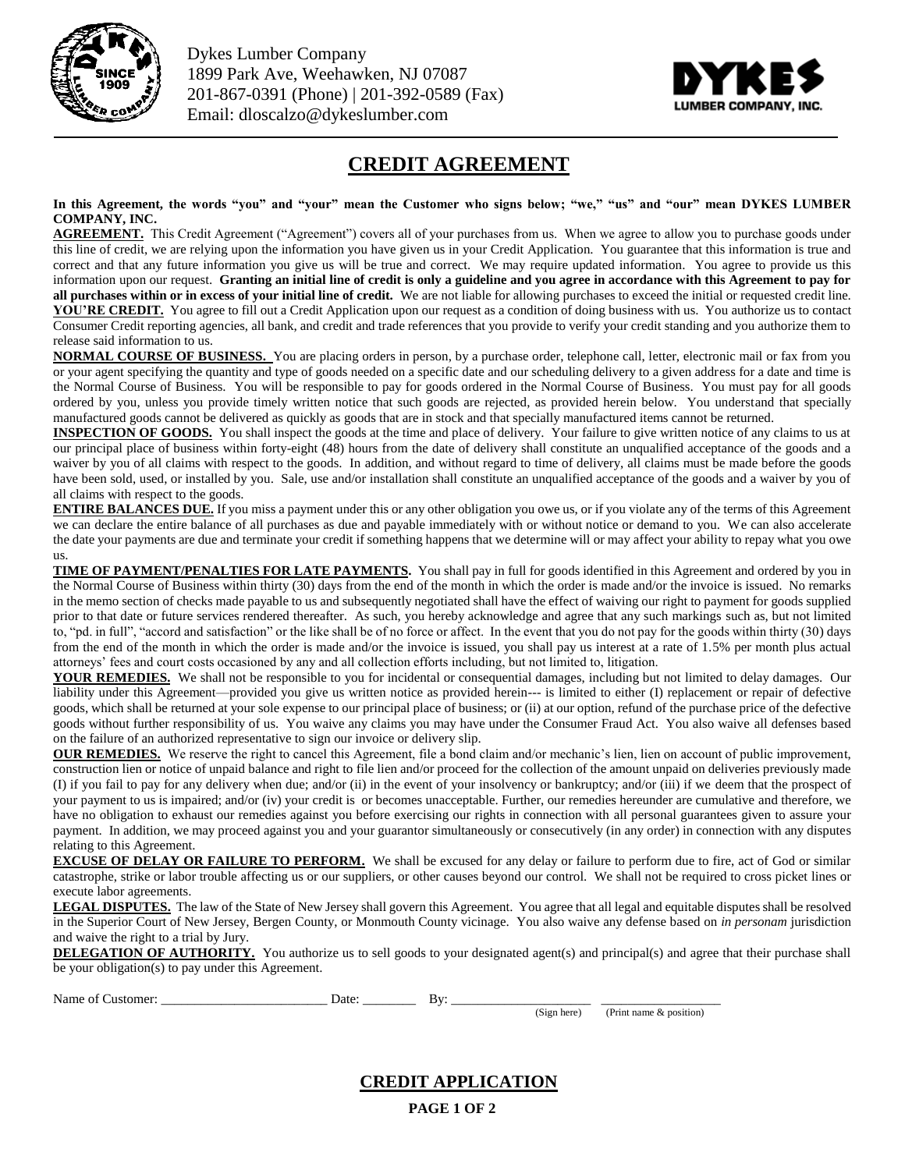

Dykes Lumber Company 1899 Park Ave, Weehawken, NJ 07087 201-867-0391 (Phone) | 201-392-0589 (Fax) Email: dloscalzo@dykeslumber.com



## **CREDIT AGREEMENT**

**In this Agreement, the words "you" and "your" mean the Customer who signs below; "we," "us" and "our" mean DYKES LUMBER COMPANY, INC.**

AGREEMENT. This Credit Agreement ("Agreement") covers all of your purchases from us. When we agree to allow you to purchase goods under this line of credit, we are relying upon the information you have given us in your Credit Application. You guarantee that this information is true and correct and that any future information you give us will be true and correct. We may require updated information. You agree to provide us this information upon our request. **Granting an initial line of credit is only a guideline and you agree in accordance with this Agreement to pay for all purchases within or in excess of your initial line of credit.** We are not liable for allowing purchases to exceed the initial or requested credit line. YOU'RE CREDIT. You agree to fill out a Credit Application upon our request as a condition of doing business with us. You authorize us to contact Consumer Credit reporting agencies, all bank, and credit and trade references that you provide to verify your credit standing and you authorize them to release said information to us.

**NORMAL COURSE OF BUSINESS.** You are placing orders in person, by a purchase order, telephone call, letter, electronic mail or fax from you or your agent specifying the quantity and type of goods needed on a specific date and our scheduling delivery to a given address for a date and time is the Normal Course of Business. You will be responsible to pay for goods ordered in the Normal Course of Business. You must pay for all goods ordered by you, unless you provide timely written notice that such goods are rejected, as provided herein below. You understand that specially manufactured goods cannot be delivered as quickly as goods that are in stock and that specially manufactured items cannot be returned.

**INSPECTION OF GOODS.** You shall inspect the goods at the time and place of delivery. Your failure to give written notice of any claims to us at our principal place of business within forty-eight (48) hours from the date of delivery shall constitute an unqualified acceptance of the goods and a waiver by you of all claims with respect to the goods. In addition, and without regard to time of delivery, all claims must be made before the goods have been sold, used, or installed by you. Sale, use and/or installation shall constitute an unqualified acceptance of the goods and a waiver by you of all claims with respect to the goods.

**ENTIRE BALANCES DUE.** If you miss a payment under this or any other obligation you owe us, or if you violate any of the terms of this Agreement we can declare the entire balance of all purchases as due and payable immediately with or without notice or demand to you. We can also accelerate the date your payments are due and terminate your credit if something happens that we determine will or may affect your ability to repay what you owe us.

**TIME OF PAYMENT/PENALTIES FOR LATE PAYMENTS.** You shall pay in full for goods identified in this Agreement and ordered by you in the Normal Course of Business within thirty (30) days from the end of the month in which the order is made and/or the invoice is issued. No remarks in the memo section of checks made payable to us and subsequently negotiated shall have the effect of waiving our right to payment for goods supplied prior to that date or future services rendered thereafter. As such, you hereby acknowledge and agree that any such markings such as, but not limited to, "pd. in full", "accord and satisfaction" or the like shall be of no force or affect. In the event that you do not pay for the goods within thirty (30) days from the end of the month in which the order is made and/or the invoice is issued, you shall pay us interest at a rate of 1.5% per month plus actual attorneys' fees and court costs occasioned by any and all collection efforts including, but not limited to, litigation.

**YOUR REMEDIES.** We shall not be responsible to you for incidental or consequential damages, including but not limited to delay damages. Our liability under this Agreement—provided you give us written notice as provided herein--- is limited to either (I) replacement or repair of defective goods, which shall be returned at your sole expense to our principal place of business; or (ii) at our option, refund of the purchase price of the defective goods without further responsibility of us. You waive any claims you may have under the Consumer Fraud Act. You also waive all defenses based on the failure of an authorized representative to sign our invoice or delivery slip.

**OUR REMEDIES.** We reserve the right to cancel this Agreement, file a bond claim and/or mechanic's lien, lien on account of public improvement, construction lien or notice of unpaid balance and right to file lien and/or proceed for the collection of the amount unpaid on deliveries previously made (I) if you fail to pay for any delivery when due; and/or (ii) in the event of your insolvency or bankruptcy; and/or (iii) if we deem that the prospect of your payment to us is impaired; and/or (iv) your credit is or becomes unacceptable. Further, our remedies hereunder are cumulative and therefore, we have no obligation to exhaust our remedies against you before exercising our rights in connection with all personal guarantees given to assure your payment. In addition, we may proceed against you and your guarantor simultaneously or consecutively (in any order) in connection with any disputes relating to this Agreement.

**EXCUSE OF DELAY OR FAILURE TO PERFORM.** We shall be excused for any delay or failure to perform due to fire, act of God or similar catastrophe, strike or labor trouble affecting us or our suppliers, or other causes beyond our control. We shall not be required to cross picket lines or execute labor agreements.

**LEGAL DISPUTES.** The law of the State of New Jersey shall govern this Agreement. You agree that all legal and equitable disputes shall be resolved in the Superior Court of New Jersey, Bergen County, or Monmouth County vicinage. You also waive any defense based on *in personam* jurisdiction and waive the right to a trial by Jury.

**DELEGATION OF AUTHORITY.** You authorize us to sell goods to your designated agent(s) and principal(s) and agree that their purchase shall be your obligation(s) to pay under this Agreement.

| Name<br>.ner<br>$\cdots$<br>ωı | Jate | К٧<br>- |  |
|--------------------------------|------|---------|--|

(Sign here) (Print name & position)

**CREDIT APPLICATION** 

**PAGE 1 OF 2**